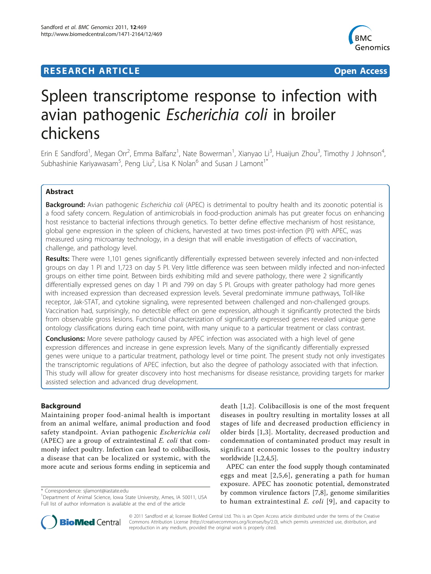# **RESEARCH ARTICLE External Structure Control** Company of the Open Access



# Spleen transcriptome response to infection with avian pathogenic Escherichia coli in broiler chickens

Erin E Sandford<sup>1</sup>, Megan Orr<sup>2</sup>, Emma Balfanz<sup>1</sup>, Nate Bowerman<sup>1</sup>, Xianyao Li<sup>3</sup>, Huaijun Zhou<sup>3</sup>, Timothy J Johnson<sup>4</sup> , Subhashinie Kariyawasam $^5$ , Peng Liu $^2$ , Lisa K Nolan $^6$  and Susan J Lamont $^{\mathsf{1}}{}^*$ 

# Abstract

Background: Avian pathogenic Escherichia coli (APEC) is detrimental to poultry health and its zoonotic potential is a food safety concern. Regulation of antimicrobials in food-production animals has put greater focus on enhancing host resistance to bacterial infections through genetics. To better define effective mechanism of host resistance, global gene expression in the spleen of chickens, harvested at two times post-infection (PI) with APEC, was measured using microarray technology, in a design that will enable investigation of effects of vaccination, challenge, and pathology level.

Results: There were 1,101 genes significantly differentially expressed between severely infected and non-infected groups on day 1 PI and 1,723 on day 5 PI. Very little difference was seen between mildly infected and non-infected groups on either time point. Between birds exhibiting mild and severe pathology, there were 2 significantly differentially expressed genes on day 1 PI and 799 on day 5 PI. Groups with greater pathology had more genes with increased expression than decreased expression levels. Several predominate immune pathways, Toll-like receptor, Jak-STAT, and cytokine signaling, were represented between challenged and non-challenged groups. Vaccination had, surprisingly, no detectible effect on gene expression, although it significantly protected the birds from observable gross lesions. Functional characterization of significantly expressed genes revealed unique gene ontology classifications during each time point, with many unique to a particular treatment or class contrast.

**Conclusions:** More severe pathology caused by APEC infection was associated with a high level of gene expression differences and increase in gene expression levels. Many of the significantly differentially expressed genes were unique to a particular treatment, pathology level or time point. The present study not only investigates the transcriptomic regulations of APEC infection, but also the degree of pathology associated with that infection. This study will allow for greater discovery into host mechanisms for disease resistance, providing targets for marker assisted selection and advanced drug development.

# Background

Maintaining proper food-animal health is important from an animal welfare, animal production and food safety standpoint. Avian pathogenic Escherichia coli (APEC) are a group of extraintestinal  $E$ . coli that commonly infect poultry. Infection can lead to colibacillosis, a disease that can be localized or systemic, with the more acute and serious forms ending in septicemia and

\* Correspondence: [sjlamont@iastate.edu](mailto:sjlamont@iastate.edu)

death [[1,2](#page-11-0)]. Colibacillosis is one of the most frequent diseases in poultry resulting in mortality losses at all stages of life and decreased production efficiency in older birds [[1,3](#page-11-0)]. Mortality, decreased production and condemnation of contaminated product may result in significant economic losses to the poultry industry worldwide [\[1,2,4,5](#page-11-0)].

APEC can enter the food supply though contaminated eggs and meat [[2,5](#page-11-0),[6](#page-11-0)], generating a path for human exposure. APEC has zoonotic potential, demonstrated by common virulence factors [\[7](#page-11-0),[8\]](#page-11-0), genome similarities to human extraintestinal  $E.$   $coll$  [[9](#page-11-0)], and capacity to



© 2011 Sandford et al; licensee BioMed Central Ltd. This is an Open Access article distributed under the terms of the Creative Commons Attribution License [\(http://creativecommons.org/licenses/by/2.0](http://creativecommons.org/licenses/by/2.0)), which permits unrestricted use, distribution, and reproduction in any medium, provided the original work is properly cited.

<sup>&</sup>lt;sup>1</sup>Department of Animal Science, Iowa State University, Ames, IA 50011, USA Full list of author information is available at the end of the article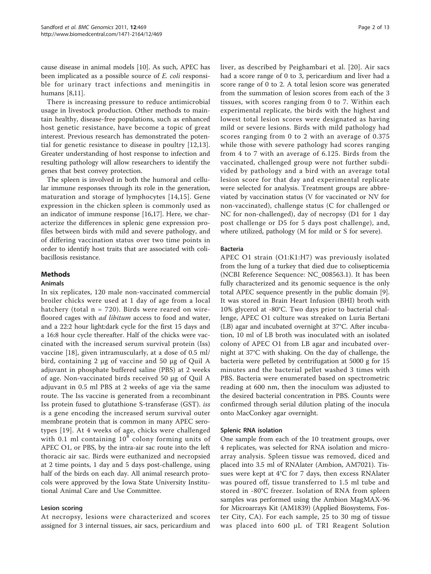cause disease in animal models [\[10](#page-11-0)]. As such, APEC has been implicated as a possible source of E. coli responsible for urinary tract infections and meningitis in humans [\[8,11](#page-11-0)].

There is increasing pressure to reduce antimicrobial usage in livestock production. Other methods to maintain healthy, disease-free populations, such as enhanced host genetic resistance, have become a topic of great interest. Previous research has demonstrated the potential for genetic resistance to disease in poultry [\[12,13\]](#page-11-0). Greater understanding of host response to infection and resulting pathology will allow researchers to identify the genes that best convey protection.

The spleen is involved in both the humoral and cellular immune responses through its role in the generation, maturation and storage of lymphocytes [[14,15\]](#page-11-0). Gene expression in the chicken spleen is commonly used as an indicator of immune response [\[16,17](#page-11-0)]. Here, we characterize the differences in splenic gene expression profiles between birds with mild and severe pathology, and of differing vaccination status over two time points in order to identify host traits that are associated with colibacillosis resistance.

# **Methods**

## Animals

In six replicates, 120 male non-vaccinated commercial broiler chicks were used at 1 day of age from a local hatchery (total  $n = 720$ ). Birds were reared on wirefloored cages with *ad libitum* access to food and water, and a 22:2 hour light:dark cycle for the first 15 days and a 16:8 hour cycle thereafter. Half of the chicks were vaccinated with the increased serum survival protein (Iss) vaccine [[18\]](#page-11-0), given intramuscularly, at a dose of 0.5 ml/ bird, containing 2 μg of vaccine and 50 μg of Quil A adjuvant in phosphate buffered saline (PBS) at 2 weeks of age. Non-vaccinated birds received 50 μg of Quil A adjuvant in 0.5 ml PBS at 2 weeks of age via the same route. The Iss vaccine is generated from a recombinant Iss protein fused to glutathione S-transferase (GST). iss is a gene encoding the increased serum survival outer membrane protein that is common in many APEC serotypes [[19](#page-11-0)]. At 4 weeks of age, chicks were challenged with 0.1 ml containing  $10^8$  colony forming units of APEC O1, or PBS, by the intra-air sac route into the left thoracic air sac. Birds were euthanized and necropsied at 2 time points, 1 day and 5 days post-challenge, using half of the birds on each day. All animal research protocols were approved by the Iowa State University Institutional Animal Care and Use Committee.

## Lesion scoring

At necropsy, lesions were characterized and scores assigned for 3 internal tissues, air sacs, pericardium and liver, as described by Peighambari et al. [[20\]](#page-11-0). Air sacs had a score range of 0 to 3, pericardium and liver had a score range of 0 to 2. A total lesion score was generated from the summation of lesion scores from each of the 3 tissues, with scores ranging from 0 to 7. Within each experimental replicate, the birds with the highest and lowest total lesion scores were designated as having mild or severe lesions. Birds with mild pathology had scores ranging from 0 to 2 with an average of 0.375 while those with severe pathology had scores ranging from 4 to 7 with an average of 6.125. Birds from the vaccinated, challenged group were not further subdivided by pathology and a bird with an average total lesion score for that day and experimental replicate were selected for analysis. Treatment groups are abbreviated by vaccination status (V for vaccinated or NV for non-vaccinated), challenge status (C for challenged or NC for non-challenged), day of necropsy (D1 for 1 day post challenge or D5 for 5 days post challenge), and, where utilized, pathology (M for mild or S for severe).

## Bacteria

APEC O1 strain (O1:K1:H7) was previously isolated from the lung of a turkey that died due to colisepticemia (NCBI Reference Sequence: NC\_008563.1). It has been fully characterized and its genomic sequence is the only total APEC sequence presently in the public domain [\[9](#page-11-0)]. It was stored in Brain Heart Infusion (BHI) broth with 10% glycerol at -80°C. Two days prior to bacterial challenge, APEC O1 culture was streaked on Luria Bertani (LB) agar and incubated overnight at 37°C. After incubation, 10 ml of LB broth was inoculated with an isolated colony of APEC O1 from LB agar and incubated overnight at 37°C with shaking. On the day of challenge, the bacteria were pelleted by centrifugation at 5000 g for 15 minutes and the bacterial pellet washed 3 times with PBS. Bacteria were enumerated based on spectrometric reading at 600 nm, then the inoculum was adjusted to the desired bacterial concentration in PBS. Counts were confirmed through serial dilution plating of the inocula onto MacConkey agar overnight.

## Splenic RNA isolation

One sample from each of the 10 treatment groups, over 4 replicates, was selected for RNA isolation and microarray analysis. Spleen tissue was removed, diced and placed into 3.5 ml of RNAlater (Ambion, AM7021). Tissues were kept at 4°C for 7 days, then excess RNAlater was poured off, tissue transferred to 1.5 ml tube and stored in -80°C freezer. Isolation of RNA from spleen samples was performed using the Ambion MagMAX-96 for Microarrays Kit (AM1839) (Applied Biosystems, Foster City, CA). For each sample, 25 to 30 mg of tissue was placed into 600 μL of TRI Reagent Solution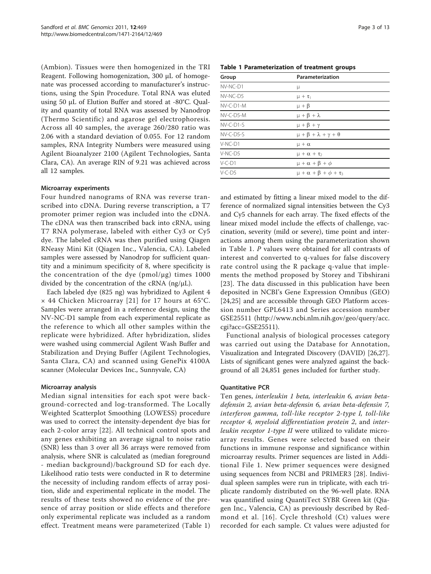(Ambion). Tissues were then homogenized in the TRI Reagent. Following homogenization, 300 μL of homogenate was processed according to manufacturer's instructions, using the Spin Procedure. Total RNA was eluted using 50 μL of Elution Buffer and stored at -80°C. Quality and quantity of total RNA was assessed by Nanodrop (Thermo Scientific) and agarose gel electrophoresis. Across all 40 samples, the average 260/280 ratio was 2.06 with a standard deviation of 0.055. For 12 random samples, RNA Integrity Numbers were measured using Agilent Bioanalyzer 2100 (Agilent Technologies, Santa Clara, CA). An average RIN of 9.21 was achieved across all 12 samples.

## Microarray experiments

Four hundred nanograms of RNA was reverse transcribed into cDNA. During reverse transcription, a T7 promoter primer region was included into the cDNA. The cDNA was then transcribed back into cRNA, using T7 RNA polymerase, labeled with either Cy3 or Cy5 dye. The labeled cRNA was then purified using Qiagen RNeasy Mini Kit (Qiagen Inc., Valencia, CA). Labeled samples were assessed by Nanodrop for sufficient quantity and a minimum specificity of 8, where specificity is the concentration of the dye ( $\text{pmol}/\mu$ g) times 1000 divided by the concentration of the cRNA (ng/μL).

Each labeled dye (825 ng) was hybridized to Agilent 4 × 44 Chicken Microarray [[21](#page-11-0)] for 17 hours at 65°C. Samples were arranged in a reference design, using the NV-NC-D1 sample from each experimental replicate as the reference to which all other samples within the replicate were hybridized. After hybridization, slides were washed using commercial Agilent Wash Buffer and Stabilization and Drying Buffer (Agilent Technologies, Santa Clara, CA) and scanned using GenePix 4100A scanner (Molecular Devices Inc., Sunnyvale, CA)

## Microarray analysis

Median signal intensities for each spot were background-corrected and log-transformed. The Locally Weighted Scatterplot Smoothing (LOWESS) procedure was used to correct the intensity-dependent dye bias for each 2-color array [[22\]](#page-11-0). All technical control spots and any genes exhibiting an average signal to noise ratio (SNR) less than 3 over all 36 arrays were removed from analysis, where SNR is calculated as (median foreground - median background)/background SD for each dye. Likelihood ratio tests were conducted in R to determine the necessity of including random effects of array position, slide and experimental replicate in the model. The results of these tests showed no evidence of the presence of array position or slide effects and therefore only experimental replicate was included as a random effect. Treatment means were parameterized (Table 1)

Table 1 Parameterization of treatment groups

| Group        | Parameterization                          |
|--------------|-------------------------------------------|
| NV-NC-D1     | μ                                         |
| NV-NC-D5     | $\mu + \tau_1$                            |
| $NV$ -C-D1-M | $\mu + \beta$                             |
| $NV$ -C-D5-M | $\mu + \beta + \lambda$                   |
| NV-C-D1-S    | $\mu + \beta + \gamma$                    |
| NV-C-D5-S    | $\mu + \beta + \lambda + \gamma + \theta$ |
| V-NC-D1      | $\mu + \alpha$                            |
| V-NC-D5      | $\mu + \alpha + \tau_2$                   |
| $V-C-D1$     | $\mu + \alpha + \beta + \phi$             |
| $V-C-D5$     | $\mu + \alpha + \beta + \phi + \tau_3$    |
|              |                                           |

and estimated by fitting a linear mixed model to the difference of normalized signal intensities between the Cy3 and Cy5 channels for each array. The fixed effects of the linear mixed model include the effects of challenge, vaccination, severity (mild or severe), time point and interactions among them using the parameterization shown in Table 1. P values were obtained for all contrasts of interest and converted to q-values for false discovery rate control using the R package q-value that implements the method proposed by Storey and Tibshirani [[23](#page-11-0)]. The data discussed in this publication have been deposited in NCBI's Gene Expression Omnibus (GEO) [[24,25\]](#page-11-0) and are accessible through GEO Platform accession number GPL6413 and Series accession number GSE25511 ([http://www.ncbi.nlm.nih.gov/geo/query/acc.](http://www.ncbi.nlm.nih.gov/geo/query/acc.cgi?acc=GSE25511) [cgi?acc=GSE25511\)](http://www.ncbi.nlm.nih.gov/geo/query/acc.cgi?acc=GSE25511).

Functional analysis of biological processes category was carried out using the Database for Annotation, Visualization and Integrated Discovery (DAVID) [\[26,27](#page-11-0)]. Lists of significant genes were analyzed against the background of all 24,851 genes included for further study.

## Quantitative PCR

Ten genes, interleukin 1 beta, interleukin 6, avian betadefensin 2, avian beta-defensin 6, avian beta-defensin 7, interferon gamma, toll-like receptor 2-type I, toll-like receptor 4, myeloid differentiation protein 2, and interleukin receptor 1-type II were utilized to validate microarray results. Genes were selected based on their functions in immune response and significance within microarray results. Primer sequences are listed in Additional File [1](#page-10-0). New primer sequences were designed using sequences from NCBI and PRIMER3 [\[28](#page-11-0)]. Individual spleen samples were run in triplicate, with each triplicate randomly distributed on the 96-well plate. RNA was quantified using QuantiTect SYBR Green kit (Qiagen Inc., Valencia, CA) as previously described by Redmond et al. [[16\]](#page-11-0). Cycle threshold (Ct) values were recorded for each sample. Ct values were adjusted for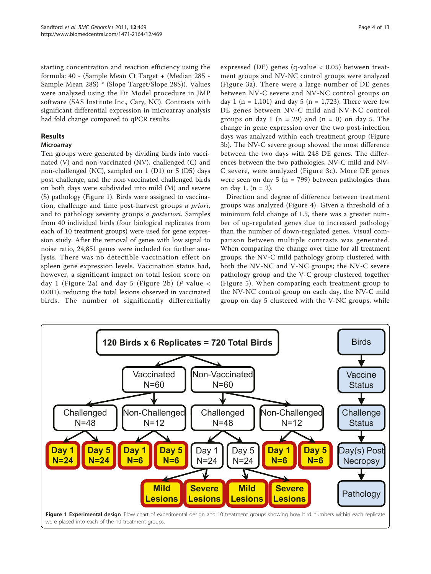<span id="page-3-0"></span>starting concentration and reaction efficiency using the formula: 40 - (Sample Mean Ct Target + (Median 28S - Sample Mean 28S) \* (Slope Target/Slope 28S)). Values were analyzed using the Fit Model procedure in JMP software (SAS Institute Inc., Cary, NC). Contrasts with significant differential expression in microarray analysis had fold change compared to qPCR results.

# Results

## **Microarray**

Ten groups were generated by dividing birds into vaccinated (V) and non-vaccinated (NV), challenged (C) and non-challenged (NC), sampled on 1 (D1) or 5 (D5) days post challenge, and the non-vaccinated challenged birds on both days were subdivided into mild (M) and severe (S) pathology (Figure 1). Birds were assigned to vaccination, challenge and time post-harvest groups a priori, and to pathology severity groups a posteriori. Samples from 40 individual birds (four biological replicates from each of 10 treatment groups) were used for gene expression study. After the removal of genes with low signal to noise ratio, 24,851 genes were included for further analysis. There was no detectible vaccination effect on spleen gene expression levels. Vaccination status had, however, a significant impact on total lesion score on day 1 (Figure [2a\)](#page-4-0) and day 5 (Figure [2b](#page-4-0)) ( $P$  value < 0.001), reducing the total lesions observed in vaccinated birds. The number of significantly differentially

expressed (DE) genes (q-value < 0.05) between treatment groups and NV-NC control groups were analyzed (Figure [3a\)](#page-4-0). There were a large number of DE genes between NV-C severe and NV-NC control groups on day 1 (n = 1,101) and day 5 (n = 1,723). There were few DE genes between NV-C mild and NV-NC control groups on day 1 ( $n = 29$ ) and ( $n = 0$ ) on day 5. The change in gene expression over the two post-infection days was analyzed within each treatment group (Figure [3b\)](#page-4-0). The NV-C severe group showed the most difference between the two days with 248 DE genes. The differences between the two pathologies, NV-C mild and NV-C severe, were analyzed (Figure [3c](#page-4-0)). More DE genes were seen on day 5 ( $n = 799$ ) between pathologies than on day 1,  $(n = 2)$ .

Direction and degree of difference between treatment groups was analyzed (Figure [4\)](#page-5-0). Given a threshold of a minimum fold change of 1.5, there was a greater number of up-regulated genes due to increased pathology than the number of down-regulated genes. Visual comparison between multiple contrasts was generated. When comparing the change over time for all treatment groups, the NV-C mild pathology group clustered with both the NV-NC and V-NC groups; the NV-C severe pathology group and the V-C group clustered together (Figure [5](#page-6-0)). When comparing each treatment group to the NV-NC control group on each day, the NV-C mild group on day 5 clustered with the V-NC groups, while

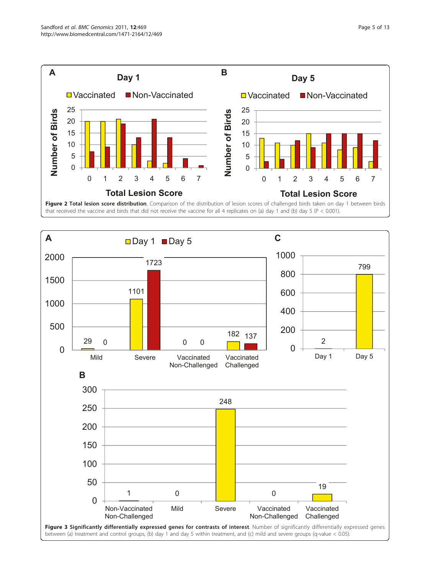<span id="page-4-0"></span>

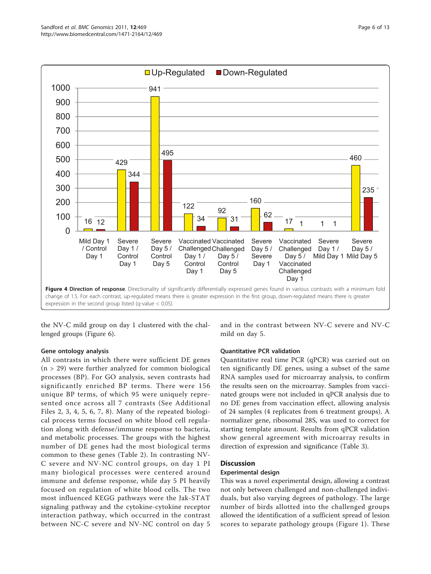<span id="page-5-0"></span>

the NV-C mild group on day 1 clustered with the challenged groups (Figure [6](#page-7-0)).

and in the contrast between NV-C severe and NV-C mild on day 5.

## Gene ontology analysis

All contrasts in which there were sufficient DE genes  $(n > 29)$  were further analyzed for common biological processes (BP). For GO analysis, seven contrasts had significantly enriched BP terms. There were 156 unique BP terms, of which 95 were uniquely represented once across all 7 contrasts (See Additional Files [2, 3, 4](#page-10-0), [5](#page-10-0), [6](#page-10-0), [7](#page-10-0), [8](#page-10-0)). Many of the repeated biological process terms focused on white blood cell regulation along with defense/immune response to bacteria, and metabolic processes. The groups with the highest number of DE genes had the most biological terms common to these genes (Table [2\)](#page-8-0). In contrasting NV-C severe and NV-NC control groups, on day 1 PI many biological processes were centered around immune and defense response, while day 5 PI heavily focused on regulation of white blood cells. The two most influenced KEGG pathways were the Jak-STAT signaling pathway and the cytokine-cytokine receptor interaction pathway, which occurred in the contrast between NC-C severe and NV-NC control on day 5

## Quantitative PCR validation

Quantitative real time PCR (qPCR) was carried out on ten significantly DE genes, using a subset of the same RNA samples used for microarray analysis, to confirm the results seen on the microarray. Samples from vaccinated groups were not included in qPCR analysis due to no DE genes from vaccination effect, allowing analysis of 24 samples (4 replicates from 6 treatment groups). A normalizer gene, ribosomal 28S, was used to correct for starting template amount. Results from qPCR validation show general agreement with microarray results in direction of expression and significance (Table [3](#page-8-0)).

# **Discussion**

## Experimental design

This was a novel experimental design, allowing a contrast not only between challenged and non-challenged individuals, but also varying degrees of pathology. The large number of birds allotted into the challenged groups allowed the identification of a sufficient spread of lesion scores to separate pathology groups (Figure [1\)](#page-3-0). These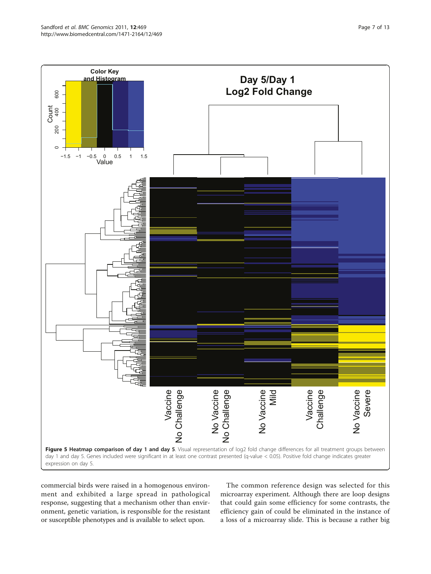<span id="page-6-0"></span>

commercial birds were raised in a homogenous environment and exhibited a large spread in pathological response, suggesting that a mechanism other than environment, genetic variation, is responsible for the resistant or susceptible phenotypes and is available to select upon.

The common reference design was selected for this microarray experiment. Although there are loop designs that could gain some efficiency for some contrasts, the efficiency gain of could be eliminated in the instance of a loss of a microarray slide. This is because a rather big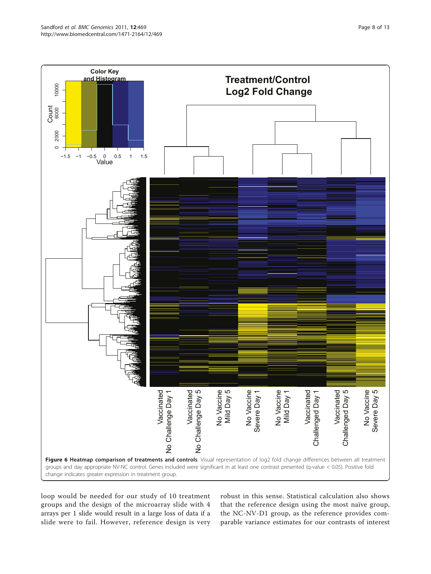<span id="page-7-0"></span>

loop would be needed for our study of 10 treatment groups and the design of the microarray slide with 4 arrays per 1 slide would result in a large loss of data if a slide were to fail. However, reference design is very robust in this sense. Statistical calculation also shows that the reference design using the most naïve group, the NC-NV-D1 group, as the reference provides comparable variance estimates for our contrasts of interest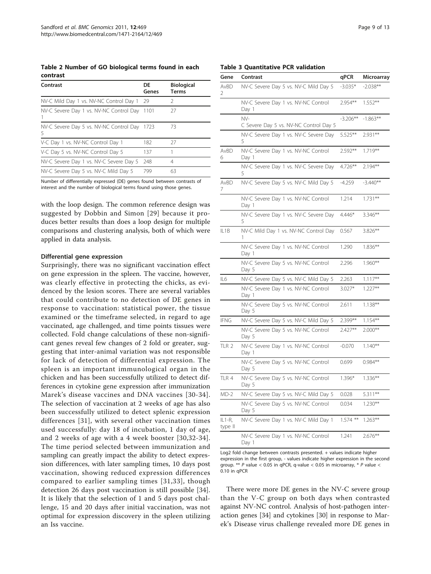<span id="page-8-0"></span>Table 2 Number of GO biological terms found in each contrast

| Contrast                                          | DE.<br>Genes | <b>Biological</b><br><b>Terms</b> |
|---------------------------------------------------|--------------|-----------------------------------|
| NV-C Mild Day 1 vs. NV-NC Control Day 1           | -29          | 2                                 |
| NV-C Severe Day 1 vs. NV-NC Control Day 1101      |              | 27                                |
| NV-C Severe Day 5 vs. NV-NC Control Day 1723<br>5 |              | 73                                |
| V-C Day 1 vs. NV-NC Control Day 1                 | 182          | 27                                |
| V-C Day 5 vs. NV-NC Control Day 5                 | 137          |                                   |
| NV-C Severe Day 1 vs. NV-C Severe Day 5           | 248          | 4                                 |
| NV-C Severe Day 5 vs. NV-C Mild Day 5             | 799          | 63                                |

Number of differentially expressed (DE) genes found between contrasts of interest and the number of biological terms found using those genes.

with the loop design. The common reference design was suggested by Dobbin and Simon [[29](#page-11-0)] because it produces better results than does a loop design for multiple comparisons and clustering analysis, both of which were applied in data analysis.

## Differential gene expression

Surprisingly, there was no significant vaccination effect on gene expression in the spleen. The vaccine, however, was clearly effective in protecting the chicks, as evidenced by the lesion scores. There are several variables that could contribute to no detection of DE genes in response to vaccination: statistical power, the tissue examined or the timeframe selected, in regard to age vaccinated, age challenged, and time points tissues were collected. Fold change calculations of these non-significant genes reveal few changes of 2 fold or greater, suggesting that inter-animal variation was not responsible for lack of detection of differential expression. The spleen is an important immunological organ in the chicken and has been successfully utilized to detect differences in cytokine gene expression after immunization Marek's disease vaccines and DNA vaccines [[30-34\]](#page-11-0). The selection of vaccination at 2 weeks of age has also been successfully utilized to detect splenic expression differences [[31](#page-11-0)], with several other vaccination times used successfully: day 18 of incubation, 1 day of age, and 2 weeks of age with a 4 week booster [[30,32-34](#page-11-0)]. The time period selected between immunization and sampling can greatly impact the ability to detect expression differences, with later sampling times, 10 days post vaccination, showing reduced expression differences compared to earlier sampling times [[31](#page-11-0),[33\]](#page-11-0), though detection 26 days post vaccination is still possible [\[34](#page-11-0)]. It is likely that the selection of 1 and 5 days post challenge, 15 and 20 days after initial vaccination, was not optimal for expression discovery in the spleen utilizing an Iss vaccine.

### Table 3 Quantitative PCR validation

| Gene               | Contrast                                        | qPCR       | Microarray |
|--------------------|-------------------------------------------------|------------|------------|
| AvBD<br>2          | NV-C Severe Day 5 vs. NV-C Mild Day 5           | $-3.035*$  | $-2.038**$ |
|                    | NV-C Severe Day 1 vs. NV-NC Control<br>Day 1    | 2.954**    | $1.552***$ |
|                    | $NV-$<br>C Severe Day 5 vs. NV-NC Control Day 5 | $-3.206**$ | $-1.863**$ |
|                    | NV-C Severe Day 1 vs. NV-C Severe Day           | $5.525***$ | 2.931**    |
| AvBD<br>6          | NV-C Severe Day 1 vs. NV-NC Control<br>Day 1    | 2.592**    | $1.719***$ |
|                    | NV-C Severe Day 1 vs. NV-C Severe Day<br>5      | 4.726**    | $2.194***$ |
| AvBD<br>7          | NV-C Severe Day 5 vs. NV-C Mild Day 5           | $-4.259$   | $-3.440**$ |
|                    | NV-C Severe Day 1 vs. NV-NC Control<br>Day 1    | 1.214      | $1.731**$  |
|                    | NV-C Severe Day 1 vs. NV-C Severe Day<br>5      | $4.446*$   | $3.346**$  |
| IL <sub>1</sub> B  | NV-C Mild Day 1 vs. NV-NC Control Day           | 0.567      | 3.826**    |
|                    | NV-C Severe Day 1 vs. NV-NC Control<br>Day 1    | 1.290      | 1.836**    |
|                    | NV-C Severe Day 5 vs. NV-NC Control<br>Day 5    | 2.296      | $1.960**$  |
| IL6                | NV-C Severe Day 5 vs. NV-C Mild Day 5           | 2.263      | $1.117**$  |
|                    | NV-C Severe Day 1 vs. NV-NC Control<br>Day 1    | $3.027*$   | $1.227**$  |
|                    | NV-C Severe Day 5 vs. NV-NC Control<br>Day 5    | 2.611      | $1.138***$ |
| <b>IFNG</b>        | NV-C Severe Day 5 vs. NV-C Mild Day 5           | 2.399**    | $1.154***$ |
|                    | NV-C Severe Day 5 vs. NV-NC Control<br>Day 5    | $2.427**$  | $2.000**$  |
| TLR <sub>2</sub>   | NV-C Severe Day 1 vs. NV-NC Control<br>Day 1    | $-0.070$   | $1.140***$ |
|                    | NV-C Severe Day 5 vs. NV-NC Control<br>Day 5    | 0.699      | $0.984**$  |
| TLR 4              | NV-C Severe Day 5 vs. NV-NC Control<br>Day 5    | 1.396*     | $1.336***$ |
| $MD-2$             | NV-C Severe Day 5 vs. NV-C Mild Day 5           | 0.028      | $5.311***$ |
|                    | NV-C Severe Day 5 vs. NV-NC Control<br>Day 5    | 0.034      | $1.230***$ |
| $IL1-R$<br>type II | NV-C Severe Day 1 vs. NV-C Mild Day 1           | $1.574$ ** | $1.263**$  |
|                    | NV-C Severe Day 1 vs. NV-NC Control<br>Day 1    | 1.241      | $2.676**$  |

Log2 fold change between contrasts presented. + values indicate higher expression in the first group, - values indicate higher expression in the second group. \*\* P value < 0.05 in qPCR, q-value < 0.05 in microarray, \* P value < 0.10 in qPCR

There were more DE genes in the NV-C severe group than the V-C group on both days when contrasted against NV-NC control. Analysis of host-pathogen interaction genes [[34\]](#page-11-0) and cytokines [\[30](#page-11-0)] in response to Marek's Disease virus challenge revealed more DE genes in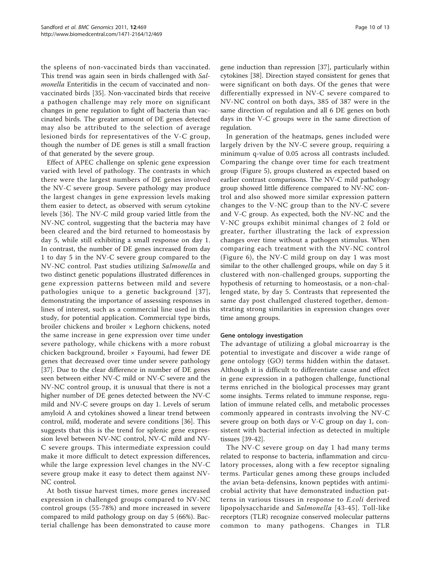the spleens of non-vaccinated birds than vaccinated. This trend was again seen in birds challenged with Salmonella Enteritidis in the cecum of vaccinated and nonvaccinated birds [[35\]](#page-11-0). Non-vaccinated birds that receive a pathogen challenge may rely more on significant changes in gene regulation to fight off bacteria than vaccinated birds. The greater amount of DE genes detected may also be attributed to the selection of average lesioned birds for representatives of the V-C group, though the number of DE genes is still a small fraction of that generated by the severe group.

Effect of APEC challenge on splenic gene expression varied with level of pathology. The contrasts in which there were the largest numbers of DE genes involved the NV-C severe group. Severe pathology may produce the largest changes in gene expression levels making them easier to detect, as observed with serum cytokine levels [[36](#page-11-0)]. The NV-C mild group varied little from the NV-NC control, suggesting that the bacteria may have been cleared and the bird returned to homeostasis by day 5, while still exhibiting a small response on day 1. In contrast, the number of DE genes increased from day 1 to day 5 in the NV-C severe group compared to the NV-NC control. Past studies utilizing Salmonella and two distinct genetic populations illustrated differences in gene expression patterns between mild and severe pathologies unique to a genetic background [[37\]](#page-12-0), demonstrating the importance of assessing responses in lines of interest, such as a commercial line used in this study, for potential application. Commercial type birds, broiler chickens and broiler × Leghorn chickens, noted the same increase in gene expression over time under severe pathology, while chickens with a more robust chicken background, broiler × Fayoumi, had fewer DE genes that decreased over time under severe pathology [[37\]](#page-12-0). Due to the clear difference in number of DE genes seen between either NV-C mild or NV-C severe and the NV-NC control group, it is unusual that there is not a higher number of DE genes detected between the NV-C mild and NV-C severe groups on day 1. Levels of serum amyloid A and cytokines showed a linear trend between control, mild, moderate and severe conditions [[36\]](#page-11-0). This suggests that this is the trend for splenic gene expression level between NV-NC control, NV-C mild and NV-C severe groups. This intermediate expression could make it more difficult to detect expression differences, while the large expression level changes in the NV-C severe group make it easy to detect them against NV-NC control.

At both tissue harvest times, more genes increased expression in challenged groups compared to NV-NC control groups (55-78%) and more increased in severe compared to mild pathology group on day 5 (66%). Bacterial challenge has been demonstrated to cause more

gene induction than repression [\[37](#page-12-0)], particularly within cytokines [\[38\]](#page-12-0). Direction stayed consistent for genes that were significant on both days. Of the genes that were differentially expressed in NV-C severe compared to NV-NC control on both days, 385 of 387 were in the same direction of regulation and all 6 DE genes on both days in the V-C groups were in the same direction of regulation.

In generation of the heatmaps, genes included were largely driven by the NV-C severe group, requiring a minimum q-value of 0.05 across all contrasts included. Comparing the change over time for each treatment group (Figure [5\)](#page-6-0), groups clustered as expected based on earlier contrast comparisons. The NV-C mild pathology group showed little difference compared to NV-NC control and also showed more similar expression pattern changes to the V-NC group than to the NV-C severe and V-C group. As expected, both the NV-NC and the V-NC groups exhibit minimal changes of 2 fold or greater, further illustrating the lack of expression changes over time without a pathogen stimulus. When comparing each treatment with the NV-NC control (Figure [6](#page-7-0)), the NV-C mild group on day 1 was most similar to the other challenged groups, while on day 5 it clustered with non-challenged groups, supporting the hypothesis of returning to homeostasis, or a non-challenged state, by day 5. Contrasts that represented the same day post challenged clustered together, demonstrating strong similarities in expression changes over time among groups.

## Gene ontology investigation

The advantage of utilizing a global microarray is the potential to investigate and discover a wide range of gene ontology (GO) terms hidden within the dataset. Although it is difficult to differentiate cause and effect in gene expression in a pathogen challenge, functional terms enriched in the biological processes may grant some insights. Terms related to immune response, regulation of immune related cells, and metabolic processes commonly appeared in contrasts involving the NV-C severe group on both days or V-C group on day 1, consistent with bacterial infection as detected in multiple tissues [[39-42\]](#page-12-0).

The NV-C severe group on day 1 had many terms related to response to bacteria, inflammation and circulatory processes, along with a few receptor signaling terms. Particular genes among these groups included the avian beta-defensins, known peptides with antimicrobial activity that have demonstrated induction patterns in various tissues in response to E.coli derived lipopolysaccharide and Salmonella [[43-45](#page-12-0)]. Toll-like receptors (TLR) recognize conserved molecular patterns common to many pathogens. Changes in TLR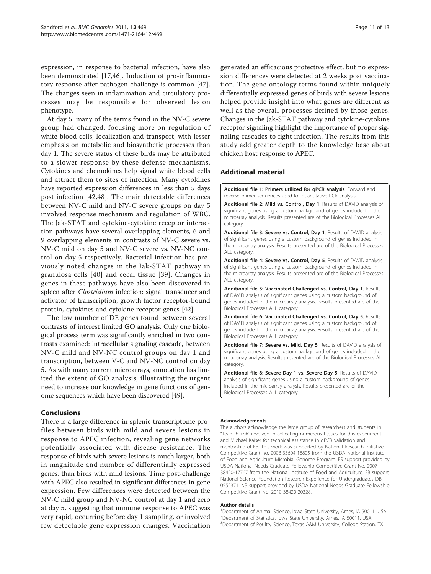<span id="page-10-0"></span>expression, in response to bacterial infection, have also been demonstrated [\[17](#page-11-0),[46\]](#page-12-0). Induction of pro-inflammatory response after pathogen challenge is common [\[47](#page-12-0)]. The changes seen in inflammation and circulatory processes may be responsible for observed lesion phenotype.

At day 5, many of the terms found in the NV-C severe group had changed, focusing more on regulation of white blood cells, localization and transport, with lesser emphasis on metabolic and biosynthetic processes than day 1. The severe status of these birds may be attributed to a slower response by these defense mechanisms. Cytokines and chemokines help signal white blood cells and attract them to sites of infection. Many cytokines have reported expression differences in less than 5 days post infection [[42](#page-12-0),[48\]](#page-12-0). The main detectable differences between NV-C mild and NV-C severe groups on day 5 involved response mechanism and regulation of WBC. The Jak-STAT and cytokine-cytokine receptor interaction pathways have several overlapping elements, 6 and 9 overlapping elements in contrasts of NV-C severe vs. NV-C mild on day 5 and NV-C severe vs. NV-NC control on day 5 respectively. Bacterial infection has previously noted changes in the Jak-STAT pathway in granulosa cells [\[40\]](#page-12-0) and cecal tissue [[39\]](#page-12-0). Changes in genes in these pathways have also been discovered in spleen after *Clostridium* infection: signal transducer and activator of transcription, growth factor receptor-bound protein, cytokines and cytokine receptor genes [\[42](#page-12-0)].

The low number of DE genes found between several contrasts of interest limited GO analysis. Only one biological process term was significantly enriched in two contrasts examined: intracellular signaling cascade, between NV-C mild and NV-NC control groups on day 1 and transcription, between V-C and NV-NC control on day 5. As with many current microarrays, annotation has limited the extent of GO analysis, illustrating the urgent need to increase our knowledge in gene functions of genome sequences which have been discovered [[49\]](#page-12-0).

## Conclusions

There is a large difference in splenic transcriptome profiles between birds with mild and severe lesions in response to APEC infection, revealing gene networks potentially associated with disease resistance. The response of birds with severe lesions is much larger, both in magnitude and number of differentially expressed genes, than birds with mild lesions. Time post-challenge with APEC also resulted in significant differences in gene expression. Few differences were detected between the NV-C mild group and NV-NC control at day 1 and zero at day 5, suggesting that immune response to APEC was very rapid, occurring before day 1 sampling, or involved few detectable gene expression changes. Vaccination

generated an efficacious protective effect, but no expression differences were detected at 2 weeks post vaccination. The gene ontology terms found within uniquely differentially expressed genes of birds with severe lesions helped provide insight into what genes are different as well as the overall processes defined by those genes. Changes in the Jak-STAT pathway and cytokine-cytokine receptor signaling highlight the importance of proper signaling cascades to fight infection. The results from this study add greater depth to the knowledge base about chicken host response to APEC.

# Additional material

[Additional file 1: P](http://www.biomedcentral.com/content/supplementary/1471-2164-12-469-S1.DOC)rimers utilized for qPCR analysis. Forward and reverse primer sequences used for quantitative PCR analysis.

[Additional file 2: M](http://www.biomedcentral.com/content/supplementary/1471-2164-12-469-S2.XLSX)ild vs. Control, Day 1. Results of DAVID analysis of significant genes using a custom background of genes included in the microarray analysis. Results presented are of the Biological Processes ALL category.

[Additional file 3: S](http://www.biomedcentral.com/content/supplementary/1471-2164-12-469-S3.XLSX)evere vs. Control, Day 1. Results of DAVID analysis of significant genes using a custom background of genes included in the microarray analysis. Results presented are of the Biological Processes ALL category.

[Additional file 4: S](http://www.biomedcentral.com/content/supplementary/1471-2164-12-469-S4.XLSX)evere vs. Control, Day 5. Results of DAVID analysis of significant genes using a custom background of genes included in the microarray analysis. Results presented are of the Biological Processes ALL category.

[Additional file 5: V](http://www.biomedcentral.com/content/supplementary/1471-2164-12-469-S5.XLSX)accinated Challenged vs. Control, Day 1. Results of DAVID analysis of significant genes using a custom background of genes included in the microarray analysis. Results presented are of the Biological Processes ALL category.

[Additional file 6: V](http://www.biomedcentral.com/content/supplementary/1471-2164-12-469-S6.XLSX)accinated Challenged vs. Control, Day 5. Results of DAVID analysis of significant genes using a custom background of genes included in the microarray analysis. Results presented are of the Biological Processes ALL category.

[Additional file 7: S](http://www.biomedcentral.com/content/supplementary/1471-2164-12-469-S7.XLSX)evere vs. Mild, Day 5. Results of DAVID analysis of significant genes using a custom background of genes included in the microarray analysis. Results presented are of the Biological Processes ALL category.

[Additional file 8: S](http://www.biomedcentral.com/content/supplementary/1471-2164-12-469-S8.XLSX)evere Day 1 vs. Severe Day 5. Results of DAVID analysis of significant genes using a custom background of genes included in the microarray analysis. Results presented are of the Biological Processes ALL category.

#### Acknowledgements

The authors acknowledge the large group of researchers and students in "Team E. coli" involved in collecting numerous tissues for this experiment and Michael Kaiser for technical assistance in qPCR validation and mentorship of EB. This work was supported by National Research Initiative Competitive Grant no. 2008-35604-18805 from the USDA National Institute of Food and Agriculture Microbial Genome Program. ES support provided by USDA National Needs Graduate Fellowship Competitive Grant No. 2007- 38420-17767 from the National Institute of Food and Agriculture. EB support National Science Foundation Research Experience for Undergraduates DBI-0552371. NB support provided by USDA National Needs Graduate Fellowship Competitive Grant No. 2010-38420-20328.

## Author details

<sup>1</sup>Department of Animal Science, Iowa State University, Ames, IA 50011, USA <sup>2</sup>Department of Statistics, Iowa State University, Ames, IA 50011, USA <sup>3</sup> Department of Poultry Science, Texas A&M University, College Station, TX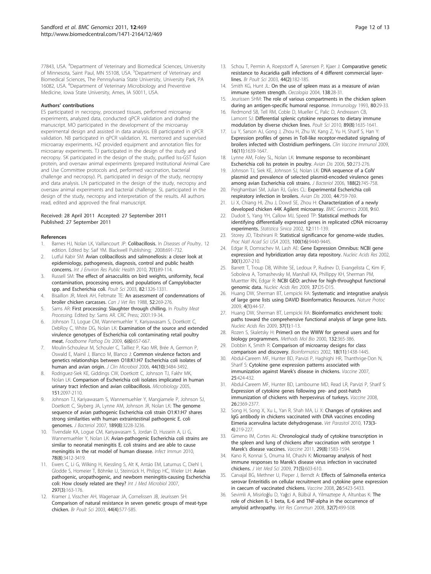<span id="page-11-0"></span>77843, USA. <sup>4</sup>Department of Veterinary and Biomedical Sciences, University of Minnesota, Saint Paul, MN 55108, USA. <sup>5</sup>Department of Veterinary and Biomedical Sciences, The Pennsylvania State University, University Park, PA 16082, USA. <sup>6</sup>Department of Veterinary Microbiology and Preventive Medicine, Iowa State University, Ames, IA 50011, USA.

#### Authors' contributions

ES participated in necropsy, processed tissues, performed microarray experiments, analyzed data, conducted qPCR validation and drafted the manuscript. MO participated in the development of the microarray experimental design and assisted in data analysis. EB participated in qPCR validation. NB participated in qPCR validation. XL mentored and supervised microarray experiments. HZ provided equipment and annotation files for microarray experiments. TJ participated in the design of the study and necropsy. SK participated in the design of the study, purified Iss-GST fusion protein, and oversaw animal experiments (prepared Institutional Animal Care and Use Committee protocols and, performed vaccination, bacterial challenge and necropsy). PL participated in design of the study, necropsy and data analysis. LN participated in the design of the study, necropsy and oversaw animal experiments and bacterial challenge. SL participated in the design of the study, necropsy and interpretation of the results. All authors read, edited and approved the final manuscript.

#### Received: 28 April 2011 Accepted: 27 September 2011 Published: 27 September 2011

#### References

- Barnes HJ, Nolan LK, Vaillancourt JP: Colibacillosis. In Diseases of Poultry.. 12 edition. Edited by: Saif YM. Blackwell Publishing; 2008:691-732.
- Lutful Kabir SM: [Avian colibacillosis and salmonellosis: a closer look at](http://www.ncbi.nlm.nih.gov/pubmed/20195435?dopt=Abstract) [epidemiology, pathogenesis, diagnosis, control and public health](http://www.ncbi.nlm.nih.gov/pubmed/20195435?dopt=Abstract) [concerns.](http://www.ncbi.nlm.nih.gov/pubmed/20195435?dopt=Abstract) Int J Environ Res Public Health 2010, 7(1):89-114.
- 3. Russell SM: [The effect of airsacculitis on bird weights, uniformity, fecal](http://www.ncbi.nlm.nih.gov/pubmed/12943305?dopt=Abstract) [contamination, processing errors, and populations of Campylobacter](http://www.ncbi.nlm.nih.gov/pubmed/12943305?dopt=Abstract) [spp. and Escherichia coli.](http://www.ncbi.nlm.nih.gov/pubmed/12943305?dopt=Abstract) Poult Sci 2003, 82:1326-1331.
- 4. Bisaillon JR, Meek AH, Feltmate TE: [An assessment of condemnations of](http://www.ncbi.nlm.nih.gov/pubmed/3370562?dopt=Abstract) [broiler chicken carcasses.](http://www.ncbi.nlm.nih.gov/pubmed/3370562?dopt=Abstract) Can J Vet Res 1988, 52:269-276.
- 5. Sams AR: First processing: Slaughter through chilling. In Poultry Meat Processing. Edited by: Sams AR. CRC Press; 2001:19-34.
- 6. Johnson TJ, Logue CM, Wannemuehler Y, Kariyawasam S, Doetkott C, DebRoy C, White DG, Nolan LK: [Examination of the source and extended](http://www.ncbi.nlm.nih.gov/pubmed/19580453?dopt=Abstract) [virulence genotypes of Escherichia coli contaminating retail poultry](http://www.ncbi.nlm.nih.gov/pubmed/19580453?dopt=Abstract) [meat.](http://www.ncbi.nlm.nih.gov/pubmed/19580453?dopt=Abstract) Foodborne Pathog Dis 2009, 6(6):657-667.
- 7. Moulin-Schouleur M, Schouler C, Tailliez P, Kao MR, Brée A, Germon P, Oswald E, Mainil J, Blanco M, Blanco J: [Common virulence factors and](http://www.ncbi.nlm.nih.gov/pubmed/17021071?dopt=Abstract) [genetics relationships between O18:K1:H7 Escherichia coli isolates of](http://www.ncbi.nlm.nih.gov/pubmed/17021071?dopt=Abstract) [human and avian origin.](http://www.ncbi.nlm.nih.gov/pubmed/17021071?dopt=Abstract) J Clin Microbiol 2006, 44(10):3484-3492.
- 8. Rodriguez-Siek KE, Giddings CW, Doetkott C, Johnson TJ, Fakhr MK, Nolan LK: [Comparison of Escherichia coli isolates implicated in human](http://www.ncbi.nlm.nih.gov/pubmed/15942016?dopt=Abstract) [urinary tract infection and avian colibacillosis.](http://www.ncbi.nlm.nih.gov/pubmed/15942016?dopt=Abstract) Microbiology 2005, 151:2097-2110.
- 9. Johnson TJ, Kariyawasam S, Wannemuehler Y, Mangiamele P, Johnson SJ, Doetkott C, Skyberg JA, Lynne AM, Johnson JR, Nolan LK: [The genome](http://www.ncbi.nlm.nih.gov/pubmed/17293413?dopt=Abstract) [sequence of avian pathogenic Escherichia coli strain O1:K1:H7 shares](http://www.ncbi.nlm.nih.gov/pubmed/17293413?dopt=Abstract) [strong similarities with human extraintestinal pathogenic E. coli](http://www.ncbi.nlm.nih.gov/pubmed/17293413?dopt=Abstract) [genomes.](http://www.ncbi.nlm.nih.gov/pubmed/17293413?dopt=Abstract) J Bacteriol 2007, 189(8):3228-3236.
- 10. Tivendale KA, Logue CM, Kariyawasam S, Jordan D, Hussein A, Li G, Wannemuehler Y, Nolan LK: [Avian-pathogenic Escherichia coli strains are](http://www.ncbi.nlm.nih.gov/pubmed/20515929?dopt=Abstract) [similar to neonatal meningitis E. coli strains and are able to cause](http://www.ncbi.nlm.nih.gov/pubmed/20515929?dopt=Abstract) [meningitis in the rat model of human disease.](http://www.ncbi.nlm.nih.gov/pubmed/20515929?dopt=Abstract) Infect Immun 2010, 78(8):3412-3419.
- 11. Ewers C, Li G, Wilking H, Kiessling S, Alt K, Antáo EM, Laturnus C, Diehl I, Glodde S, Homeier T, Böhnke U, Steinrück H, Philipp HC, Wieler LH: [Avian](http://www.ncbi.nlm.nih.gov/pubmed/17374506?dopt=Abstract) [pathogenic, uropathogenic, and newborn meningitis-causing Escherichia](http://www.ncbi.nlm.nih.gov/pubmed/17374506?dopt=Abstract) [coli: How closely related are they?](http://www.ncbi.nlm.nih.gov/pubmed/17374506?dopt=Abstract) Int J Med Microbiol 2007, 297(3):163-176.
- 12. Kramer J, Visscher AH, Wagenaar JA, Cornelissen JB, Jeurissen SH: [Comparison of natural resistance in seven genetic groups of meat-type](http://www.ncbi.nlm.nih.gov/pubmed/14598793?dopt=Abstract) [chicken.](http://www.ncbi.nlm.nih.gov/pubmed/14598793?dopt=Abstract) Br Poult Sci 2003, 44(4):577-585.
- 13. Schou T, Permin A, Roepstorff A, Sørensen P, Kjaer J: [Comparative genetic](http://www.ncbi.nlm.nih.gov/pubmed/12828202?dopt=Abstract) [resistance to Ascaridia galli infections of 4 different commercial layer](http://www.ncbi.nlm.nih.gov/pubmed/12828202?dopt=Abstract)[lines.](http://www.ncbi.nlm.nih.gov/pubmed/12828202?dopt=Abstract) Br Poult Sci 2003, 44(2):182-185.
- 14. Smith KG, Hunt JL: [On the use of spleen mass as a measure of avian](http://www.ncbi.nlm.nih.gov/pubmed/14576931?dopt=Abstract) [immune system strength.](http://www.ncbi.nlm.nih.gov/pubmed/14576931?dopt=Abstract) Oecologia 2004, 138:28-31.
- 15. Jeurissen SHM: [The role of various compartments in the chicken spleen](http://www.ncbi.nlm.nih.gov/pubmed/8244460?dopt=Abstract) [during an antigen-specific humoral response.](http://www.ncbi.nlm.nih.gov/pubmed/8244460?dopt=Abstract) Immunology 1993, 80:29-33.
- 16. Redmond SB, Tell RM, Coble D, Mueller C, Palic D, Andreasen CB, Lamont SJ: [Differential splenic cytokine responses to dietary immune](http://www.ncbi.nlm.nih.gov/pubmed/20634518?dopt=Abstract) [modulation by diverse chicken lines.](http://www.ncbi.nlm.nih.gov/pubmed/20634518?dopt=Abstract) Poult Sci 2010, 89(8):1635-1641.
- 17. Lu Y, Sarson AJ, Gong J, Zhou H, Zhu W, Kang Z, Yu H, Sharif S, Han Y: [Expression profiles of genes in Toll-like receptor-mediated signaling of](http://www.ncbi.nlm.nih.gov/pubmed/19776194?dopt=Abstract) [broilers infected with Clostridium perfringens.](http://www.ncbi.nlm.nih.gov/pubmed/19776194?dopt=Abstract) Clin Vaccine Immunol 2009, 16(11):1639-1647.
- 18. Lynne AM, Foley SL, Nolan LK: [Immune response to recombinant](http://www.ncbi.nlm.nih.gov/pubmed/16863080?dopt=Abstract) [Escherichia coli Iss protein in poultry.](http://www.ncbi.nlm.nih.gov/pubmed/16863080?dopt=Abstract) Avian Dis 2006, 50:273-276.
- 19. Johnson TJ, Siek KE, Johnson SJ, Nolan LK: [DNA sequence of a ColV](http://www.ncbi.nlm.nih.gov/pubmed/16385064?dopt=Abstract) [plasmid and prevalence of selected plasmid-encoded virulence genes](http://www.ncbi.nlm.nih.gov/pubmed/16385064?dopt=Abstract) [among avian Escherichia coli strains.](http://www.ncbi.nlm.nih.gov/pubmed/16385064?dopt=Abstract) J Bacteriol 2006, 188(2):745-75
- 20. Peighambari SM, Julian RJ, Gyles CL: [Experimental Escherichia coli](http://www.ncbi.nlm.nih.gov/pubmed/11195629?dopt=Abstract) [respiratory infection in broilers.](http://www.ncbi.nlm.nih.gov/pubmed/11195629?dopt=Abstract) Avian Dis 2000, 44:759-769.
- 21. Li X, Chiang HI, Zhu J, Dowd SE, Zhou H: [Characterization of a newly](http://www.ncbi.nlm.nih.gov/pubmed/18237426?dopt=Abstract) [developed chicken 44K Agilent microarray.](http://www.ncbi.nlm.nih.gov/pubmed/18237426?dopt=Abstract) BMC Genomics 2008, 9:60.
- 22. Dudoit S, Yang YH, Callow MJ, Speed TP: Statistical methods for identifying differentially expressed genes in replicated cDNA microarray experiments. Statistica Sinica 2002, 12:111-139.
- 23. Storey JD, Tibshirani R: [Statistical significance for genome-wide studies.](http://www.ncbi.nlm.nih.gov/pubmed/12883005?dopt=Abstract) Proc Natl Acad Sci USA 2003, 100(16):9440-9445.
- 24. Edgar R, Domrachev M, Lash AE: [Gene Expression Omnibus: NCBI gene](http://www.ncbi.nlm.nih.gov/pubmed/11752295?dopt=Abstract) [expression and hybridization array data repository.](http://www.ncbi.nlm.nih.gov/pubmed/11752295?dopt=Abstract) Nucleic Acids Res 2002, 30(1):207-210.
- Barrett T, Troup DB, Wilhite SE, Ledoux P, Rudnev D, Evangelista C, Kim IF, Soboleva A, Tomashevsky M, Marshall KA, Phillippy KH, Sherman PM, Muertter RN, Edgar R: [NCBI GEO: archive for high-throughput functional](http://www.ncbi.nlm.nih.gov/pubmed/18940862?dopt=Abstract) [genomic data.](http://www.ncbi.nlm.nih.gov/pubmed/18940862?dopt=Abstract) Nucleic Acids Res 2009, 37:D5-D15.
- 26. Huang DW, Sherman BT, Lempicki RA: Systematic and integrative analysis of large gene lists using DAVID Bioinformatics Resources. Nature Protoc 2009, 4(1):44-57.
- 27. Huang DW, Sherman BT, Lempicki RA: [Bioinformatics enrichment tools:](http://www.ncbi.nlm.nih.gov/pubmed/19033363?dopt=Abstract) [paths toward the comprehensive functional analysis of large gene lists.](http://www.ncbi.nlm.nih.gov/pubmed/19033363?dopt=Abstract) Nucleic Acids Res 2009, 37(1):1-13.
- 28. Rozen S, Skaletsky H: Primer3 on the WWW for general users and for biology programmers. Methods Mol Bio 2000, 132:365-386.
- 29. Dobbin K, Smith R: [Comparison of microarray designs for class](http://www.ncbi.nlm.nih.gov/pubmed/12424114?dopt=Abstract) [comparison and discovery.](http://www.ncbi.nlm.nih.gov/pubmed/12424114?dopt=Abstract) Bioinformatics 2002, 18(11):1438-1445.
- 30. Abdul-Careem MF, Hunter BD, Parvizi P, Haghighi HR, Thanthrige-Don N, Sharif S: [Cytokine gene expression patterns associated with](http://www.ncbi.nlm.nih.gov/pubmed/17070626?dopt=Abstract) [immunization against Marek](http://www.ncbi.nlm.nih.gov/pubmed/17070626?dopt=Abstract)'s disease in chickens. Vaccine 2007. 25:424-432.
- 31. Abdul-Careem MF, Hunter BD, Lambourne MD, Read LR, Parvizi P, Sharif S: [Expression of cytokine genes following pre- and post-hatch](http://www.ncbi.nlm.nih.gov/pubmed/18406020?dopt=Abstract) [immunization of chickens with herpesvirus of turkeys.](http://www.ncbi.nlm.nih.gov/pubmed/18406020?dopt=Abstract) Vaccine 2008, 26:2369-2377.
- 32. Song H, Song X, Xu L, Yan R, Shah MA, Li X: [Changes of cytokines and](http://www.ncbi.nlm.nih.gov/pubmed/20650568?dopt=Abstract) [IgG antibody in chickens vaccinated with DNA vaccines encoding](http://www.ncbi.nlm.nih.gov/pubmed/20650568?dopt=Abstract) [Eimeria acervulina lactate dehydrogenase.](http://www.ncbi.nlm.nih.gov/pubmed/20650568?dopt=Abstract) Vet Parasitol 2010, 173(3- 4):219-227.
- 33. Gimeno IM, Cortes AL: [Chronological study of cytokine transcription in](http://www.ncbi.nlm.nih.gov/pubmed/21215344?dopt=Abstract) [the spleen and lung of chickens after vaccination with serotype 1](http://www.ncbi.nlm.nih.gov/pubmed/21215344?dopt=Abstract) Marek'[s disease vaccines.](http://www.ncbi.nlm.nih.gov/pubmed/21215344?dopt=Abstract) Vaccine 2011, 29(8):1583-1594.
- 34. Kano R, Konnai S, Onuma M, Ohashi K: [Microarray analysis of host](http://www.ncbi.nlm.nih.gov/pubmed/19498286?dopt=Abstract) immune responses to Marek'[s disease virus infection in vaccinated](http://www.ncbi.nlm.nih.gov/pubmed/19498286?dopt=Abstract) [chickens.](http://www.ncbi.nlm.nih.gov/pubmed/19498286?dopt=Abstract) J Vet Med Sci 2009, 71(5):603-610.
- 35. Carvaial BG, Methner U, Pieper J, Berndt A: [Effects of Salmonella enterica](http://www.ncbi.nlm.nih.gov/pubmed/18706948?dopt=Abstract) [serovar Enteritidis on cellular recruitment and cytokine gene expression](http://www.ncbi.nlm.nih.gov/pubmed/18706948?dopt=Abstract) [in caecum of vaccinated chickens.](http://www.ncbi.nlm.nih.gov/pubmed/18706948?dopt=Abstract) Vaccine 2008, 26:5423-5433.
- 36. Sevimli A, Misirloğlu D, Yağci A, Bülbül A, Yilmaztepe A, Altunbas K: [The](http://www.ncbi.nlm.nih.gov/pubmed/18612836?dopt=Abstract) [role of chicken IL-1 beta, IL-6 and TNF-alpha in the occurrence of](http://www.ncbi.nlm.nih.gov/pubmed/18612836?dopt=Abstract) [amyloid arthropathy.](http://www.ncbi.nlm.nih.gov/pubmed/18612836?dopt=Abstract) Vet Res Commun 2008, 32(7):499-508.